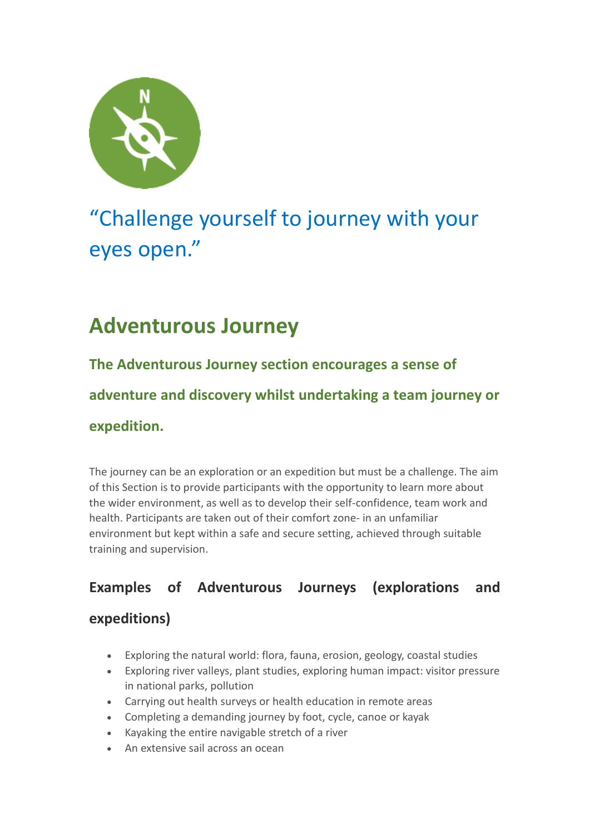

# "Challenge yourself to journey with your eyes open."

## **Adventurous Journey**

**The Adventurous Journey section encourages a sense of adventure and discovery whilst undertaking a team journey or expedition.**

The journey can be an exploration or an expedition but must be a challenge. The aim of this Section is to provide participants with the opportunity to learn more about the wider environment, as well as to develop their self-confidence, team work and health. Participants are taken out of their comfort zone- in an unfamiliar environment but kept within a safe and secure setting, achieved through suitable training and supervision.

## **Examples of Adventurous Journeys (explorations and**

### **expeditions)**

- Exploring the natural world: flora, fauna, erosion, geology, coastal studies
- Exploring river valleys, plant studies, exploring human impact: visitor pressure in national parks, pollution
- Carrying out health surveys or health education in remote areas
- Completing a demanding journey by foot, cycle, canoe or kayak
- Kayaking the entire navigable stretch of a river
- An extensive sail across an ocean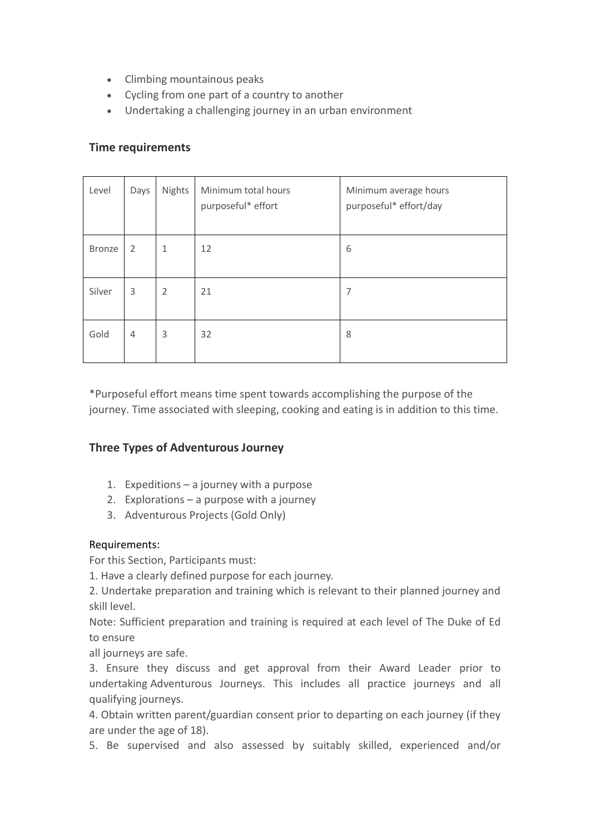- Climbing mountainous peaks
- Cycling from one part of a country to another
- Undertaking a challenging journey in an urban environment

#### **Time requirements**

| Level         | Days           | Nights         | Minimum total hours<br>purposeful* effort | Minimum average hours<br>purposeful* effort/day |
|---------------|----------------|----------------|-------------------------------------------|-------------------------------------------------|
| <b>Bronze</b> | 2              | 1              | 12                                        | 6                                               |
| Silver        | 3              | $\overline{2}$ | 21                                        | 7                                               |
| Gold          | $\overline{4}$ | 3              | 32                                        | 8                                               |

\*Purposeful effort means time spent towards accomplishing the purpose of the journey. Time associated with sleeping, cooking and eating is in addition to this time.

#### **Three Types of Adventurous Journey**

- 1. Expeditions a journey with a purpose
- 2. Explorations a purpose with a journey
- 3. Adventurous Projects (Gold Only)

#### Requirements:

For this Section, Participants must:

1. Have a clearly defined purpose for each journey.

2. Undertake preparation and training which is relevant to their planned journey and skill level.

Note: Sufficient preparation and training is required at each level of The Duke of Ed to ensure

all journeys are safe.

3. Ensure they discuss and get approval from their Award Leader prior to undertaking Adventurous Journeys. This includes all practice journeys and all qualifying journeys.

4. Obtain written parent/guardian consent prior to departing on each journey (if they are under the age of 18).

5. Be supervised and also assessed by suitably skilled, experienced and/or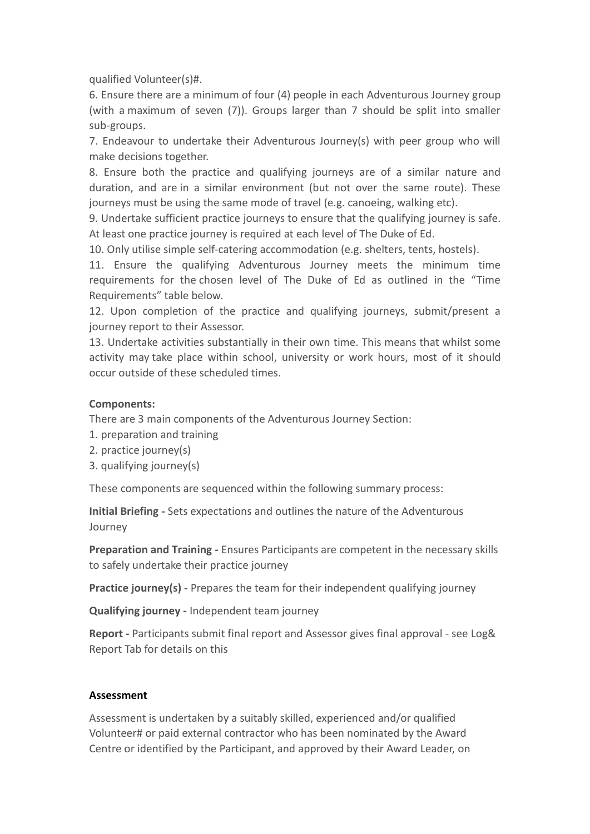qualified Volunteer(s)#.

6. Ensure there are a minimum of four (4) people in each Adventurous Journey group (with a maximum of seven (7)). Groups larger than 7 should be split into smaller sub-groups.

7. Endeavour to undertake their Adventurous Journey(s) with peer group who will make decisions together.

8. Ensure both the practice and qualifying journeys are of a similar nature and duration, and are in a similar environment (but not over the same route). These journeys must be using the same mode of travel (e.g. canoeing, walking etc).

9. Undertake sufficient practice journeys to ensure that the qualifying journey is safe. At least one practice journey is required at each level of The Duke of Ed.

10. Only utilise simple self-catering accommodation (e.g. shelters, tents, hostels).

11. Ensure the qualifying Adventurous Journey meets the minimum time requirements for the chosen level of The Duke of Ed as outlined in the "Time Requirements" table below.

12. Upon completion of the practice and qualifying journeys, submit/present a journey report to their Assessor.

13. Undertake activities substantially in their own time. This means that whilst some activity may take place within school, university or work hours, most of it should occur outside of these scheduled times.

#### **Components:**

There are 3 main components of the Adventurous Journey Section:

- 1. preparation and training
- 2. practice journey(s)
- 3. qualifying journey(s)

These components are sequenced within the following summary process:

**Initial Briefing -** Sets expectations and outlines the nature of the Adventurous Journey

**Preparation and Training -** Ensures Participants are competent in the necessary skills to safely undertake their practice journey

**Practice journey(s) -** Prepares the team for their independent qualifying journey

**Qualifying journey -** Independent team journey

**Report -** Participants submit final report and Assessor gives final approval - see Log& Report Tab for details on this

#### **Assessment**

Assessment is undertaken by a suitably skilled, experienced and/or qualified Volunteer# or paid external contractor who has been nominated by the Award Centre or identified by the Participant, and approved by their Award Leader, on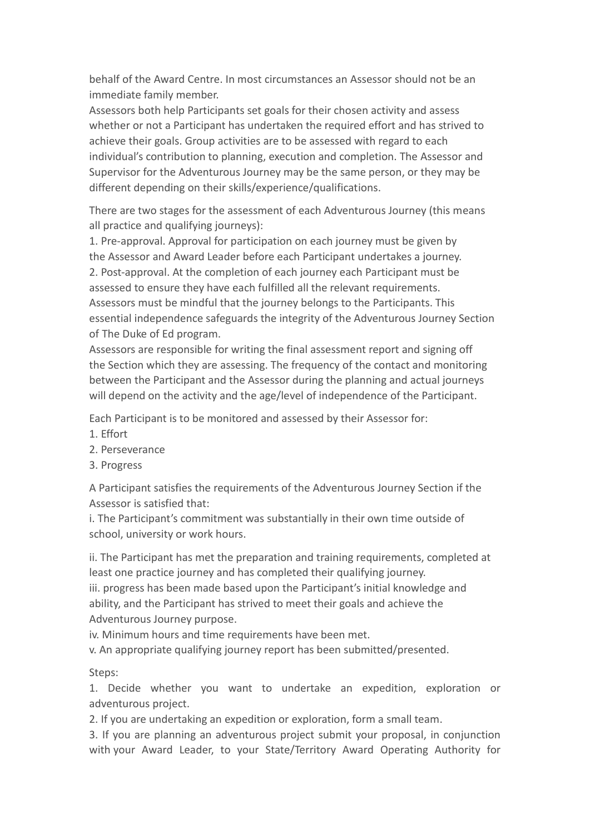behalf of the Award Centre. In most circumstances an Assessor should not be an immediate family member.

Assessors both help Participants set goals for their chosen activity and assess whether or not a Participant has undertaken the required effort and has strived to achieve their goals. Group activities are to be assessed with regard to each individual's contribution to planning, execution and completion. The Assessor and Supervisor for the Adventurous Journey may be the same person, or they may be different depending on their skills/experience/qualifications.

There are two stages for the assessment of each Adventurous Journey (this means all practice and qualifying journeys):

1. Pre-approval. Approval for participation on each journey must be given by the Assessor and Award Leader before each Participant undertakes a journey. 2. Post-approval. At the completion of each journey each Participant must be assessed to ensure they have each fulfilled all the relevant requirements. Assessors must be mindful that the journey belongs to the Participants. This essential independence safeguards the integrity of the Adventurous Journey Section of The Duke of Ed program.

Assessors are responsible for writing the final assessment report and signing off the Section which they are assessing. The frequency of the contact and monitoring between the Participant and the Assessor during the planning and actual journeys will depend on the activity and the age/level of independence of the Participant.

Each Participant is to be monitored and assessed by their Assessor for:

- 1. Effort
- 2. Perseverance
- 3. Progress

A Participant satisfies the requirements of the Adventurous Journey Section if the Assessor is satisfied that:

i. The Participant's commitment was substantially in their own time outside of school, university or work hours.

ii. The Participant has met the preparation and training requirements, completed at least one practice journey and has completed their qualifying journey.

iii. progress has been made based upon the Participant's initial knowledge and ability, and the Participant has strived to meet their goals and achieve the Adventurous Journey purpose.

iv. Minimum hours and time requirements have been met.

v. An appropriate qualifying journey report has been submitted/presented.

Steps:

1. Decide whether you want to undertake an expedition, exploration or adventurous project.

2. If you are undertaking an expedition or exploration, form a small team.

3. If you are planning an adventurous project submit your proposal, in conjunction with your Award Leader, to your State/Territory Award Operating Authority for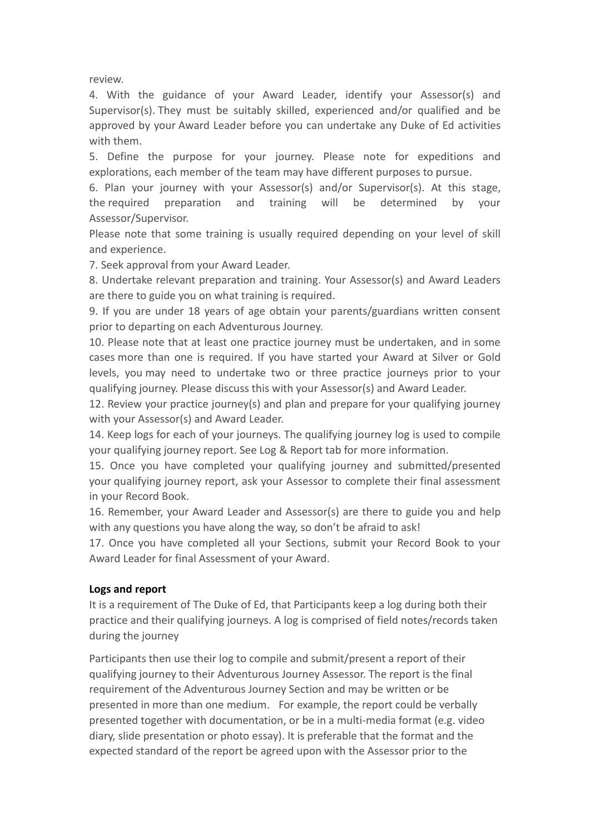review.

4. With the guidance of your Award Leader, identify your Assessor(s) and Supervisor(s). They must be suitably skilled, experienced and/or qualified and be approved by your Award Leader before you can undertake any Duke of Ed activities with them.

5. Define the purpose for your journey. Please note for expeditions and explorations, each member of the team may have different purposes to pursue.

6. Plan your journey with your Assessor(s) and/or Supervisor(s). At this stage, the required preparation and training will be determined by your Assessor/Supervisor.

Please note that some training is usually required depending on your level of skill and experience.

7. Seek approval from your Award Leader.

8. Undertake relevant preparation and training. Your Assessor(s) and Award Leaders are there to guide you on what training is required.

9. If you are under 18 years of age obtain your parents/guardians written consent prior to departing on each Adventurous Journey.

10. Please note that at least one practice journey must be undertaken, and in some cases more than one is required. If you have started your Award at Silver or Gold levels, you may need to undertake two or three practice journeys prior to your qualifying journey. Please discuss this with your Assessor(s) and Award Leader.

12. Review your practice journey(s) and plan and prepare for your qualifying journey with your Assessor(s) and Award Leader.

14. Keep logs for each of your journeys. The qualifying journey log is used to compile your qualifying journey report. See Log & Report tab for more information.

15. Once you have completed your qualifying journey and submitted/presented your qualifying journey report, ask your Assessor to complete their final assessment in your Record Book.

16. Remember, your Award Leader and Assessor(s) are there to guide you and help with any questions you have along the way, so don't be afraid to ask!

17. Once you have completed all your Sections, submit your Record Book to your Award Leader for final Assessment of your Award.

#### **Logs and report**

It is a requirement of The Duke of Ed, that Participants keep a log during both their practice and their qualifying journeys. A log is comprised of field notes/records taken during the journey

Participants then use their log to compile and submit/present a report of their qualifying journey to their Adventurous Journey Assessor. The report is the final requirement of the Adventurous Journey Section and may be written or be presented in more than one medium. For example, the report could be verbally presented together with documentation, or be in a multi-media format (e.g. video diary, slide presentation or photo essay). It is preferable that the format and the expected standard of the report be agreed upon with the Assessor prior to the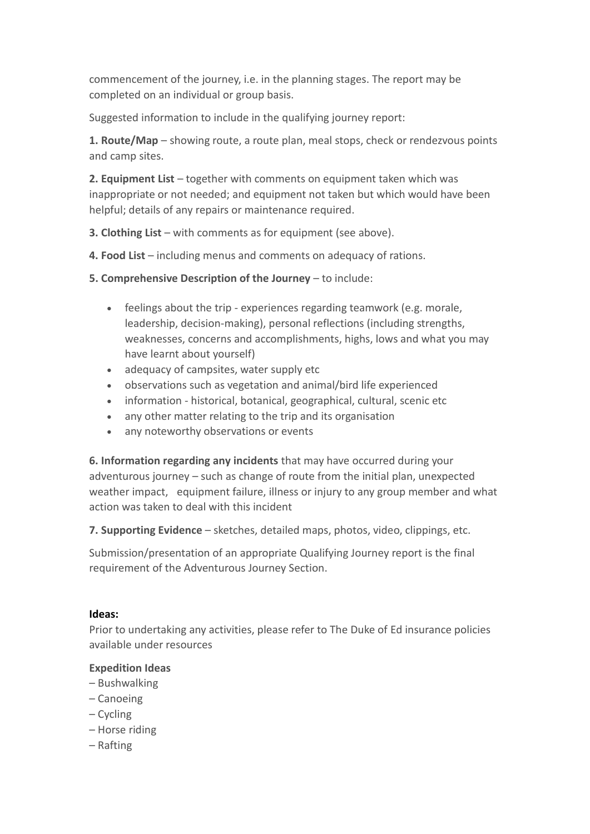commencement of the journey, i.e. in the planning stages. The report may be completed on an individual or group basis.

Suggested information to include in the qualifying journey report:

**1. Route/Map** – showing route, a route plan, meal stops, check or rendezvous points and camp sites.

**2. Equipment List** – together with comments on equipment taken which was inappropriate or not needed; and equipment not taken but which would have been helpful; details of any repairs or maintenance required.

**3. Clothing List** – with comments as for equipment (see above).

- **4. Food List**  including menus and comments on adequacy of rations.
- **5. Comprehensive Description of the Journey** to include:
	- feelings about the trip experiences regarding teamwork (e.g. morale, leadership, decision-making), personal reflections (including strengths, weaknesses, concerns and accomplishments, highs, lows and what you may have learnt about yourself)
	- adequacy of campsites, water supply etc
	- observations such as vegetation and animal/bird life experienced
	- information historical, botanical, geographical, cultural, scenic etc
	- any other matter relating to the trip and its organisation
	- any noteworthy observations or events

**6. Information regarding any incidents** that may have occurred during your adventurous journey – such as change of route from the initial plan, unexpected weather impact, equipment failure, illness or injury to any group member and what action was taken to deal with this incident

**7. Supporting Evidence** – sketches, detailed maps, photos, video, clippings, etc.

Submission/presentation of an appropriate Qualifying Journey report is the final requirement of the Adventurous Journey Section.

#### **Ideas:**

Prior to undertaking any activities, please refer to The Duke of Ed insurance policies available under resources

#### **Expedition Ideas**

- Bushwalking
- Canoeing
- Cycling
- Horse riding
- Rafting